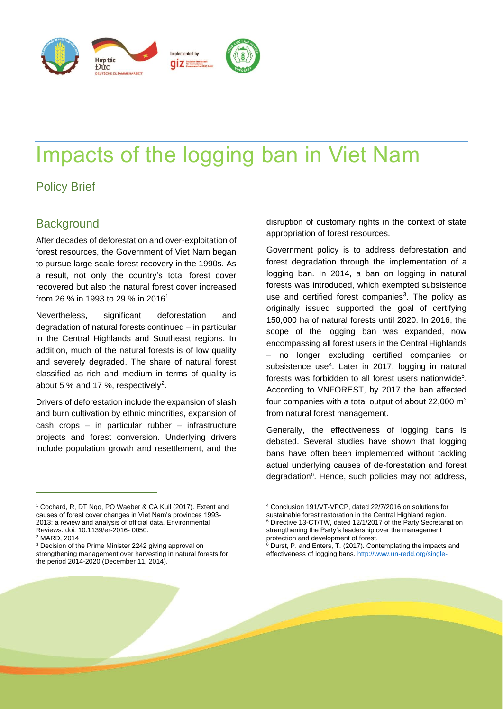

# Impacts of the logging ban in Viet Nam

# Policy Brief

# **Background**

After decades of deforestation and over-exploitation of forest resources, the Government of Viet Nam began to pursue large scale forest recovery in the 1990s. As a result, not only the country's total forest cover recovered but also the natural forest cover increased from 26 % in 1993 to 29 % in 2016<sup>1</sup>.

Nevertheless, significant deforestation and degradation of natural forests continued – in particular in the Central Highlands and Southeast regions. In addition, much of the natural forests is of low quality and severely degraded. The share of natural forest classified as rich and medium in terms of quality is about 5 % and 17 %, respectively<sup>2</sup>.

Drivers of deforestation include the expansion of slash and burn cultivation by ethnic minorities, expansion of cash crops – in particular rubber – infrastructure projects and forest conversion. Underlying drivers include population growth and resettlement, and the

disruption of customary rights in the context of state appropriation of forest resources.

Government policy is to address deforestation and forest degradation through the implementation of a logging ban. In 2014, a ban on logging in natural forests was introduced, which exempted subsistence use and certified forest companies<sup>3</sup>. The policy as originally issued supported the goal of certifying 150,000 ha of natural forests until 2020. In 2016, the scope of the logging ban was expanded, now encompassing all forest users in the Central Highlands – no longer excluding certified companies or subsistence use<sup>4</sup>. Later in 2017, logging in natural forests was forbidden to all forest users nationwide<sup>5</sup>. According to VNFOREST, by 2017 the ban affected four companies with a total output of about 22,000  $\text{m}^3$ from natural forest management.

Generally, the effectiveness of logging bans is debated. Several studies have shown that logging bans have often been implemented without tackling actual underlying causes of de-forestation and forest degradation<sup>6</sup>. Hence, such policies may not address,

<sup>1</sup> Cochard, R, DT Ngo, PO Waeber & CA Kull (2017). Extent and causes of forest cover changes in Viet Nam's provinces 1993- 2013: a review and analysis of official data. Environmental Reviews. doi: 10.1139/er-2016- 0050.

<sup>2</sup> MARD, 2014

<sup>&</sup>lt;sup>3</sup> Decision of the Prime Minister 2242 giving approval on strengthening management over harvesting in natural forests for the period 2014-2020 (December 11, 2014).

<sup>4</sup> Conclusion 191/VT-VPCP, dated 22/7/2016 on solutions for sustainable forest restoration in the Central Highland region.

<sup>5</sup> Directive 13-CT/TW, dated 12/1/2017 of the Party Secretariat on strengthening the Party's leadership over the management protection and development of forest.

<sup>6</sup> Durst, P. and Enters, T. (2017). Contemplating the impacts and effectiveness of logging bans. [http://www.un-redd.org/single-](http://www.un-redd.org/single-post/2017/03/31/Contemplating-the-impacts-and-effectiveness-of-logging-bans)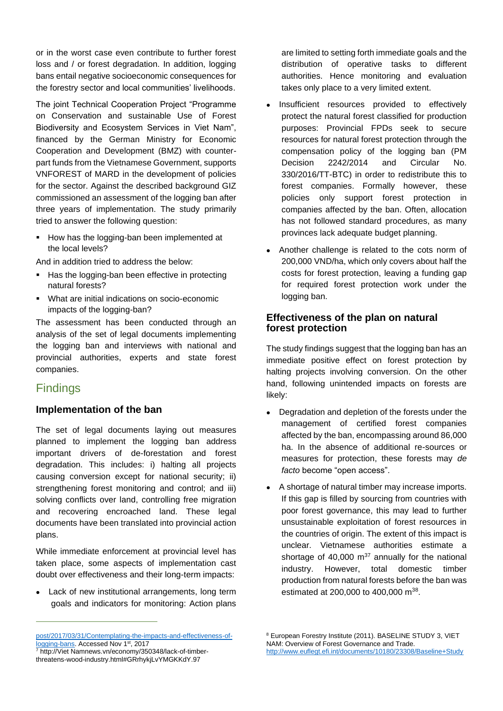or in the worst case even contribute to further forest loss and / or forest degradation. In addition, logging bans entail negative socioeconomic consequences for the forestry sector and local communities' livelihoods.

The joint Technical Cooperation Project "Programme on Conservation and sustainable Use of Forest Biodiversity and Ecosystem Services in Viet Nam", financed by the German Ministry for Economic Cooperation and Development (BMZ) with counterpart funds from the Vietnamese Government, supports VNFOREST of MARD in the development of policies for the sector. Against the described background GIZ commissioned an assessment of the logging ban after three years of implementation. The study primarily tried to answer the following question:

■ How has the logging-ban been implemented at the local levels?

And in addition tried to address the below:

- Has the logging-ban been effective in protecting natural forests?
- What are initial indications on socio-economic impacts of the logging-ban?

The assessment has been conducted through an analysis of the set of legal documents implementing the logging ban and interviews with national and provincial authorities, experts and state forest companies.

# **Findings**

## **Implementation of the ban**

The set of legal documents laying out measures planned to implement the logging ban address important drivers of de-forestation and forest degradation. This includes: i) halting all projects causing conversion except for national security; ii) strengthening forest monitoring and control; and iii) solving conflicts over land, controlling free migration and recovering encroached land. These legal documents have been translated into provincial action plans.

While immediate enforcement at provincial level has taken place, some aspects of implementation cast doubt over effectiveness and their long-term impacts:

• Lack of new institutional arrangements, long term goals and indicators for monitoring: Action plans

[post/2017/03/31/Contemplating-the-impacts-and-effectiveness-of](http://www.un-redd.org/single-post/2017/03/31/Contemplating-the-impacts-and-effectiveness-of-logging-bans)[logging-bans.](http://www.un-redd.org/single-post/2017/03/31/Contemplating-the-impacts-and-effectiveness-of-logging-bans) Accessed Nov 1st, 2017

<sup>7</sup> http://Viet Namnews.vn/economy/350348/lack-of-timberthreatens-wood-industry.html#GRrhykjLvYMGKKdY.97

are limited to setting forth immediate goals and the distribution of operative tasks to different authorities. Hence monitoring and evaluation takes only place to a very limited extent.

- Insufficient resources provided to effectively protect the natural forest classified for production purposes: Provincial FPDs seek to secure resources for natural forest protection through the compensation policy of the logging ban (PM Decision 2242/2014 and Circular No. 330/2016/TT-BTC) in order to redistribute this to forest companies. Formally however, these policies only support forest protection in companies affected by the ban. Often, allocation has not followed standard procedures, as many provinces lack adequate budget planning.
- Another challenge is related to the cots norm of 200,000 VND/ha, which only covers about half the costs for forest protection, leaving a funding gap for required forest protection work under the logging ban.

#### **Effectiveness of the plan on natural forest protection**

The study findings suggest that the logging ban has an immediate positive effect on forest protection by halting projects involving conversion. On the other hand, following unintended impacts on forests are likely:

- Degradation and depletion of the forests under the management of certified forest companies affected by the ban, encompassing around 86,000 ha. In the absence of additional re-sources or measures for protection, these forests may *de facto* become "open access".
- A shortage of natural timber may increase imports. If this gap is filled by sourcing from countries with poor forest governance, this may lead to further unsustainable exploitation of forest resources in the countries of origin. The extent of this impact is unclear. Vietnamese authorities estimate a shortage of 40,000  $\mathrm{m}^{37}$  annually for the national industry. However, total domestic timber production from natural forests before the ban was estimated at 200,000 to 400,000 m<sup>38</sup>.

<sup>8</sup> European Forestry Institute (2011). BASELINE STUDY 3, VIET NAM: Overview of Forest Governance and Trade. [http://www.euflegt.efi.int/documents/10180/23308/Baseline+Study](http://www.euflegt.efi.int/documents/10180/23308/Baseline+Study+3,%20Vietnam/73bea271-0a2e-4ecb-ac4e-f4727f5d8ad9)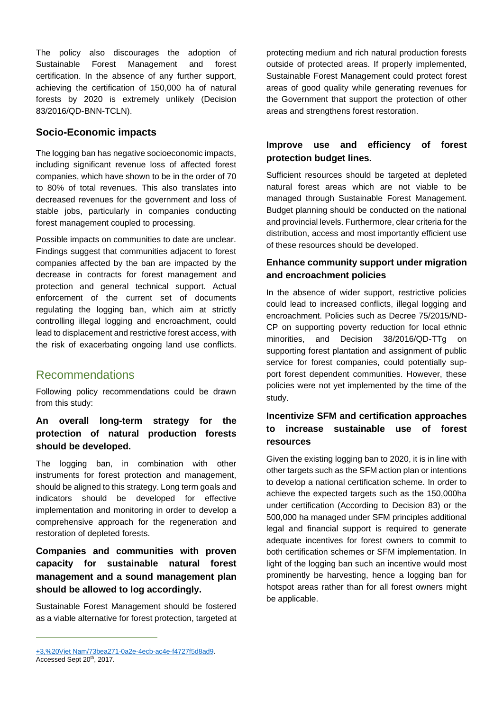The policy also discourages the adoption of Sustainable Forest Management and forest certification. In the absence of any further support, achieving the certification of 150,000 ha of natural forests by 2020 is extremely unlikely (Decision 83/2016/QD-BNN-TCLN).

### **Socio-Economic impacts**

The logging ban has negative socioeconomic impacts, including significant revenue loss of affected forest companies, which have shown to be in the order of 70 to 80% of total revenues. This also translates into decreased revenues for the government and loss of stable jobs, particularly in companies conducting forest management coupled to processing.

Possible impacts on communities to date are unclear. Findings suggest that communities adjacent to forest companies affected by the ban are impacted by the decrease in contracts for forest management and protection and general technical support. Actual enforcement of the current set of documents regulating the logging ban, which aim at strictly controlling illegal logging and encroachment, could lead to displacement and restrictive forest access, with the risk of exacerbating ongoing land use conflicts.

# Recommendations

Following policy recommendations could be drawn from this study:

## **An overall long-term strategy for the protection of natural production forests should be developed.**

The logging ban, in combination with other instruments for forest protection and management, should be aligned to this strategy. Long term goals and indicators should be developed for effective implementation and monitoring in order to develop a comprehensive approach for the regeneration and restoration of depleted forests.

# **Companies and communities with proven capacity for sustainable natural forest management and a sound management plan should be allowed to log accordingly.**

Sustainable Forest Management should be fostered as a viable alternative for forest protection, targeted at

## **Improve use and efficiency of forest protection budget lines.**

Sufficient resources should be targeted at depleted natural forest areas which are not viable to be managed through Sustainable Forest Management. Budget planning should be conducted on the national and provincial levels. Furthermore, clear criteria for the distribution, access and most importantly efficient use of these resources should be developed.

### **Enhance community support under migration and encroachment policies**

In the absence of wider support, restrictive policies could lead to increased conflicts, illegal logging and encroachment. Policies such as Decree 75/2015/ND-CP on supporting poverty reduction for local ethnic minorities, and Decision 38/2016/QD-TTg on supporting forest plantation and assignment of public service for forest companies, could potentially support forest dependent communities. However, these policies were not yet implemented by the time of the study.

# **Incentivize SFM and certification approaches to increase sustainable use of forest resources**

Given the existing logging ban to 2020, it is in line with other targets such as the SFM action plan or intentions to develop a national certification scheme. In order to achieve the expected targets such as the 150,000ha under certification (According to Decision 83) or the 500,000 ha managed under SFM principles additional legal and financial support is required to generate adequate incentives for forest owners to commit to both certification schemes or SFM implementation. In light of the logging ban such an incentive would most prominently be harvesting, hence a logging ban for hotspot areas rather than for all forest owners might be applicable.

protecting medium and rich natural production forests outside of protected areas. If properly implemented, Sustainable Forest Management could protect forest areas of good quality while generating revenues for the Government that support the protection of other areas and strengthens forest restoration.

[<sup>+3,%20</sup>Viet Nam/73bea271-0a2e-4ecb-ac4e-f4727f5d8ad9.](http://www.euflegt.efi.int/documents/10180/23308/Baseline+Study+3,%20Vietnam/73bea271-0a2e-4ecb-ac4e-f4727f5d8ad9) Accessed Sept 20<sup>th</sup>, 2017.